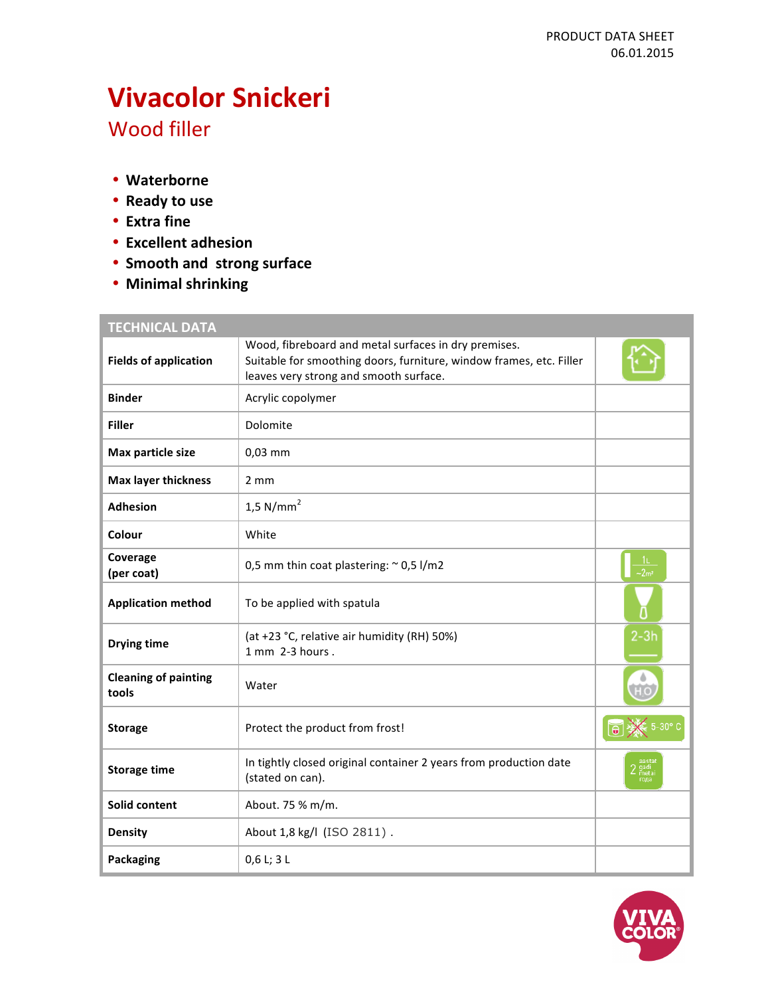# **Vivacolor Snickeri**

Wood filler

- **Waterborne**
- **Ready to use**
- **Extra fine**
- **Excellent adhesion**
- **Smooth and strong surface**
- **Minimal shrinking**

## **TECHNICAL DATA**

| <b>Fields of application</b>         | Wood, fibreboard and metal surfaces in dry premises.<br>Suitable for smoothing doors, furniture, window frames, etc. Filler<br>leaves very strong and smooth surface. |              |
|--------------------------------------|-----------------------------------------------------------------------------------------------------------------------------------------------------------------------|--------------|
| <b>Binder</b>                        | Acrylic copolymer                                                                                                                                                     |              |
| <b>Filler</b>                        | Dolomite                                                                                                                                                              |              |
| Max particle size                    | 0,03 mm                                                                                                                                                               |              |
| <b>Max layer thickness</b>           | $2 \, \text{mm}$                                                                                                                                                      |              |
| <b>Adhesion</b>                      | 1,5 N/mm <sup>2</sup>                                                                                                                                                 |              |
| Colour                               | White                                                                                                                                                                 |              |
| Coverage<br>(per coat)               | 0,5 mm thin coat plastering: $\sim$ 0,5 l/m2                                                                                                                          |              |
| <b>Application method</b>            | To be applied with spatula                                                                                                                                            |              |
| <b>Drying time</b>                   | (at +23 °C, relative air humidity (RH) 50%)<br>1 mm 2-3 hours.                                                                                                        | $2-3h$       |
| <b>Cleaning of painting</b><br>tools | Water                                                                                                                                                                 |              |
| <b>Storage</b>                       | Protect the product from frost!                                                                                                                                       |              |
| <b>Storage time</b>                  | In tightly closed original container 2 years from production date<br>(stated on can).                                                                                 | meta<br>roga |
| Solid content                        | About. 75 % m/m.                                                                                                                                                      |              |
| <b>Density</b>                       | About 1,8 kg/l (ISO 2811).                                                                                                                                            |              |
| Packaging                            | 0,6 L; 3 L                                                                                                                                                            |              |